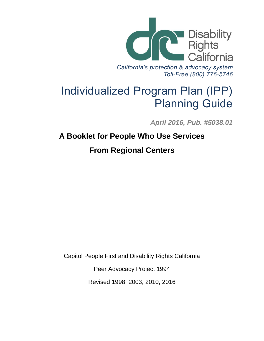

# Individualized Program Plan (IPP) Planning Guide

*April 2016, Pub. #5038.01*

## **A Booklet for People Who Use Services**

## **From Regional Centers**

Capitol People First and Disability Rights California

Peer Advocacy Project 1994

Revised 1998, 2003, 2010, 2016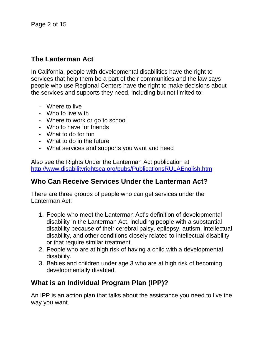## **The Lanterman Act**

In California, people with developmental disabilities have the right to services that help them be a part of their communities and the law says people who use Regional Centers have the right to make decisions about the services and supports they need, including but not limited to:

- Where to live
- Who to live with
- Where to work or go to school
- Who to have for friends
- What to do for fun
- What to do in the future
- What services and supports you want and need

Also see the Rights Under the Lanterman Act publication at <http://www.disabilityrightsca.org/pubs/PublicationsRULAEnglish.htm>

#### **Who Can Receive Services Under the Lanterman Act?**

There are three groups of people who can get services under the Lanterman Act:

- 1. People who meet the Lanterman Act's definition of developmental disability in the Lanterman Act, including people with a substantial disability because of their cerebral palsy, epilepsy, autism, intellectual disability, and other conditions closely related to intellectual disability or that require similar treatment.
- 2. People who are at high risk of having a child with a developmental disability.
- 3. Babies and children under age 3 who are at high risk of becoming developmentally disabled.

## **What is an Individual Program Plan (IPP)?**

An IPP is an action plan that talks about the assistance you need to live the way you want.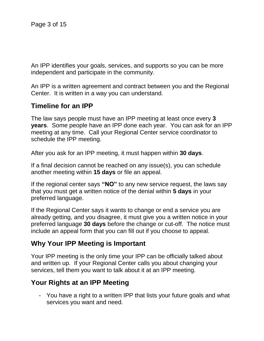An IPP identifies your goals, services, and supports so you can be more independent and participate in the community.

An IPP is a written agreement and contract between you and the Regional Center. It is written in a way you can understand.

### **Timeline for an IPP**

The law says people must have an IPP meeting at least once every **3 years**. Some people have an IPP done each year. You can ask for an IPP meeting at any time. Call your Regional Center service coordinator to schedule the IPP meeting.

After you ask for an IPP meeting, it must happen within **30 days**.

If a final decision cannot be reached on any issue(s), you can schedule another meeting within **15 days** or file an appeal.

If the regional center says **"NO"** to any new service request, the laws say that you must get a written notice of the denial within **5 days** in your preferred language.

If the Regional Center says it wants to change or end a service you are already getting, and you disagree, it must give you a written notice in your preferred language **30 days** before the change or cut-off. The notice must include an appeal form that you can fill out if you choose to appeal.

#### **Why Your IPP Meeting is Important**

Your IPP meeting is the only time your IPP can be officially talked about and written up. If your Regional Center calls you about changing your services, tell them you want to talk about it at an IPP meeting.

### **Your Rights at an IPP Meeting**

- You have a right to a written IPP that lists your future goals and what services you want and need.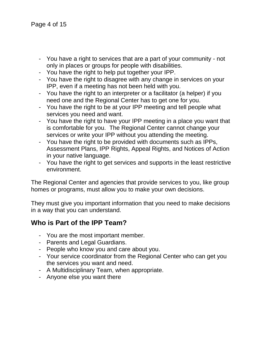- You have a right to services that are a part of your community not only in places or groups for people with disabilities.
- You have the right to help put together your IPP.
- You have the right to disagree with any change in services on your IPP, even if a meeting has not been held with you.
- You have the right to an interpreter or a facilitator (a helper) if you need one and the Regional Center has to get one for you.
- You have the right to be at your IPP meeting and tell people what services you need and want.
- You have the right to have your IPP meeting in a place you want that is comfortable for you. The Regional Center cannot change your services or write your IPP without you attending the meeting.
- You have the right to be provided with documents such as IPPs, Assessment Plans, IPP Rights, Appeal Rights, and Notices of Action in your native language.
- You have the right to get services and supports in the least restrictive environment.

The Regional Center and agencies that provide services to you, like group homes or programs, must allow you to make your own decisions.

They must give you important information that you need to make decisions in a way that you can understand.

### **Who is Part of the IPP Team?**

- You are the most important member.
- Parents and Legal Guardians.
- People who know you and care about you.
- Your service coordinator from the Regional Center who can get you the services you want and need.
- A Multidisciplinary Team, when appropriate.
- Anyone else you want there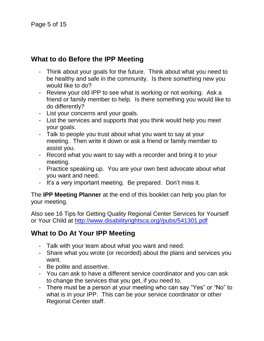## **What to do Before the IPP Meeting**

- Think about your goals for the future. Think about what you need to be healthy and safe in the community. Is there something new you would like to do?
- Review your old IPP to see what is working or not working. Ask a friend or family member to help. Is there something you would like to do differently?
- List your concerns and your goals.
- List the services and supports that you think would help you meet your goals.
- Talk to people you trust about what you want to say at your meeting. Then write it down or ask a friend or family member to assist you.
- Record what you want to say with a recorder and bring it to your meeting.
- Practice speaking up. You are your own best advocate about what you want and need.
- It's a very important meeting. Be prepared. Don't miss it.

The **IPP Meeting Planner** at the end of this booklet can help you plan for your meeting.

Also see 16 Tips for Getting Quality Regional Center Services for Yourself or Your Child at [http://www.disabilityrightsca.org//pubs/541301.pdf](http://www.disabilityrightsca.org/pubs/541301.pdf)

## **What to Do At Your IPP Meeting**

- Talk with your team about what you want and need.
- Share what you wrote (or recorded) about the plans and services you want.
- Be polite and assertive.
- You can ask to have a different service coordinator and you can ask to change the services that you get, if you need to.
- There must be a person at your meeting who can say "Yes" or "No" to what is in your IPP. This can be your service coordinator or other Regional Center staff.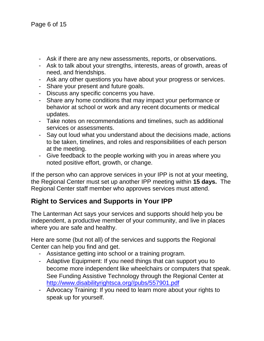- Ask if there are any new assessments, reports, or observations.
- Ask to talk about your strengths, interests, areas of growth, areas of need, and friendships.
- Ask any other questions you have about your progress or services.
- Share your present and future goals.
- Discuss any specific concerns you have.
- Share any home conditions that may impact your performance or behavior at school or work and any recent documents or medical updates.
- Take notes on recommendations and timelines, such as additional services or assessments.
- Say out loud what you understand about the decisions made, actions to be taken, timelines, and roles and responsibilities of each person at the meeting.
- Give feedback to the people working with you in areas where you noted positive effort, growth, or change.

If the person who can approve services in your IPP is not at your meeting, the Regional Center must set up another IPP meeting within **15 days.** The Regional Center staff member who approves services must attend.

## **Right to Services and Supports in Your IPP**

The Lanterman Act says your services and supports should help you be independent, a productive member of your community, and live in places where you are safe and healthy.

Here are some (but not all) of the services and supports the Regional Center can help you find and get.

- Assistance getting into school or a training program.
- Adaptive Equipment: If you need things that can support you to become more independent like wheelchairs or computers that speak. See Funding Assistive Technology through the Regional Center at [http://www.disabilityrightsca.org//pubs/557901.pdf](http://www.disabilityrightsca.org/pubs/557901.pdf)
- Advocacy Training: If you need to learn more about your rights to speak up for yourself.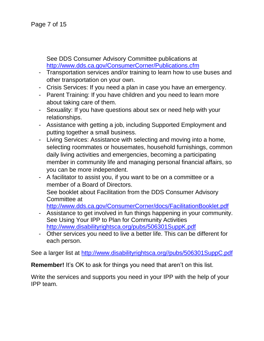See DDS Consumer Advisory Committee publications at <http://www.dds.ca.gov/ConsumerCorner/Publications.cfm>

- Transportation services and/or training to learn how to use buses and other transportation on your own.
- Crisis Services: If you need a plan in case you have an emergency.
- Parent Training: If you have children and you need to learn more about taking care of them.
- Sexuality: If you have questions about sex or need help with your relationships.
- Assistance with getting a job, including Supported Employment and putting together a small business.
- Living Services: Assistance with selecting and moving into a home, selecting roommates or housemates, household furnishings, common daily living activities and emergencies, becoming a participating member in community life and managing personal financial affairs, so you can be more independent.
- A facilitator to assist you, if you want to be on a committee or a member of a Board of Directors. See booklet about Facilitation from the DDS Consumer Advisory Committee at

<http://www.dds.ca.gov/ConsumerCorner/docs/FacilitationBooklet.pdf>

- Assistance to get involved in fun things happening in your community. See Using Your IPP to Plan for Community Activities <http://www.disabilityrightsca.org/pubs/506301SuppK.pdf>
- Other services you need to live a better life. This can be different for each person.

See a larger list at [http://www.disabilityrightsca.org//pubs/506301SuppC.pdf](http://www.disabilityrightsca.org/pubs/506301SuppC.pdf)

**Remember!** It's OK to ask for things you need that aren't on this list.

Write the services and supports you need in your IPP with the help of your IPP team.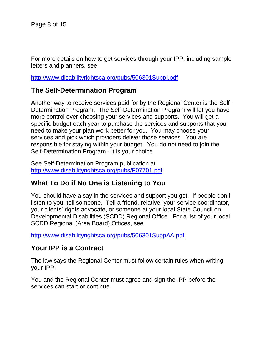For more details on how to get services through your IPP, including sample letters and planners, see

<http://www.disabilityrightsca.org/pubs/506301SuppI.pdf>

#### **The Self-Determination Program**

Another way to receive services paid for by the Regional Center is the Self-Determination Program. The Self-Determination Program will let you have more control over choosing your services and supports. You will get a specific budget each year to purchase the services and supports that you need to make your plan work better for you. You may choose your services and pick which providers deliver those services. You are responsible for staying within your budget. You do not need to join the Self-Determination Program - it is your choice.

See Self-Determination Program publication at <http://www.disabilityrightsca.org/pubs/F07701.pdf>

### **What To Do if No One is Listening to You**

You should have a say in the services and support you get. If people don't listen to you, tell someone. Tell a friend, relative, your service coordinator, your clients' rights advocate, or someone at your local State Council on Developmental Disabilities (SCDD) Regional Office. For a list of your local SCDD Regional (Area Board) Offices, see

<http://www.disabilityrightsca.org/pubs/506301SuppAA.pdf>

#### **Your IPP is a Contract**

The law says the Regional Center must follow certain rules when writing your IPP.

You and the Regional Center must agree and sign the IPP before the services can start or continue.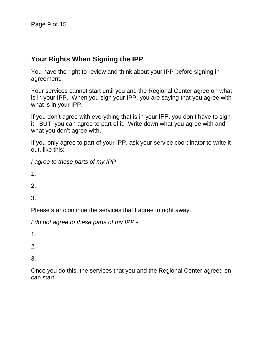### **Your Rights When Signing the IPP**

You have the right to review and think about your IPP before signing in agreement.

Your services cannot start until you and the Regional Center agree on what is in your IPP. When you sign your IPP, you are saying that you agree with what is in your IPP.

If you don't agree with everything that is in your IPP, you don't have to sign it. BUT, you can agree to part of it. Write down what you agree with and what you don't agree with.

If you only agree to part of your IPP, ask your service coordinator to write it out, like this:

*I agree to these parts of my IPP -*

1.

2.

3.

Please start/continue the services that I agree to right away.

*I do not agree to these parts of my IPP -*

1.

2.

3.

Once you do this, the services that you and the Regional Center agreed on can start.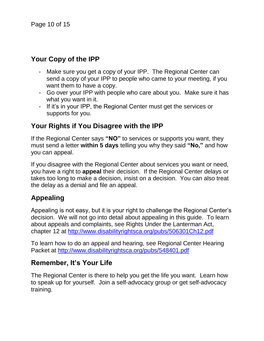## **Your Copy of the IPP**

- Make sure you get a copy of your IPP. The Regional Center can send a copy of your IPP to people who came to your meeting, if you want them to have a copy.
- Go over your IPP with people who care about you. Make sure it has what you want in it.
- If it's in your IPP, the Regional Center must get the services or supports for you.

## **Your Rights if You Disagree with the IPP**

If the Regional Center says **"NO"** to services or supports you want, they must send a letter **within 5 days** telling you why they said **"No,"** and how you can appeal.

If you disagree with the Regional Center about services you want or need, you have a right to **appeal** their decision. If the Regional Center delays or takes too long to make a decision, insist on a decision. You can also treat the delay as a denial and file an appeal.

## **Appealing**

Appealing is not easy, but it is your right to challenge the Regional Center's decision. We will not go into detail about appealing in this guide. To learn about appeals and complaints, see Rights Under the Lanterman Act, chapter 12 at <http://www.disabilityrightsca.org/pubs/506301Ch12.pdf>

To learn how to do an appeal and hearing, see Regional Center Hearing Packet at<http://www.disabilityrightsca.org/pubs/548401.pdf>

### **Remember, It's Your Life**

The Regional Center is there to help you get the life you want. Learn how to speak up for yourself. Join a self-advocacy group or get self-advocacy training.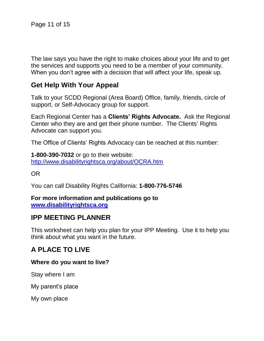The law says you have the right to make choices about your life and to get the services and supports you need to be a member of your community. When you don't agree with a decision that will affect your life, speak up.

#### **Get Help With Your Appeal**

Talk to your SCDD Regional (Area Board) Office, family, friends, circle of support, or Self-Advocacy group for support.

Each Regional Center has a **Clients' Rights Advocate.** Ask the Regional Center who they are and get their phone number. The Clients' Rights Advocate can support you.

The Office of Clients' Rights Advocacy can be reached at this number:

**1-800-390-7032** or go to their website: <http://www.disabilityrightsca.org/about/OCRA.htm>

OR

You can call Disability Rights California: **1-800-776-5746**

**For more information and publications go to [www.disabilityrightsca.org](http://www.disabilityrightsca.org/)**

#### **IPP MEETING PLANNER**

This worksheet can help you plan for your IPP Meeting. Use it to help you think about what you want in the future.

### **A PLACE TO LIVE**

#### **Where do you want to live?**

Stay where I am

My parent's place

My own place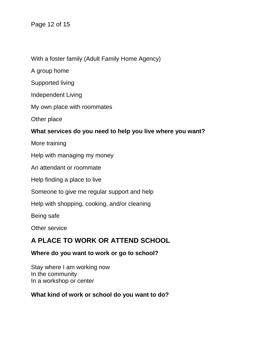Page 12 of 15

With a foster family (Adult Family Home Agency)

A group home

Supported living

Independent Living

My own place with roommates

Other place

#### **What services do you need to help you live where you want?**

More training

Help with managing my money

An attendant or roommate

Help finding a place to live

Someone to give me regular support and help

Help with shopping, cooking, and/or cleaning

Being safe

Other service

## **A PLACE TO WORK OR ATTEND SCHOOL**

#### **Where do you want to work or go to school?**

Stay where I am working now In the community In a workshop or center

#### **What kind of work or school do you want to do?**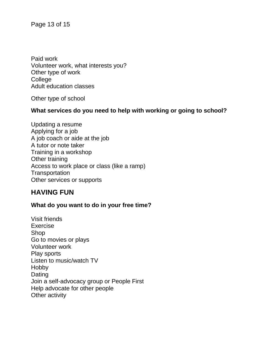Page 13 of 15

Paid work Volunteer work, what interests you? Other type of work College Adult education classes

Other type of school

#### **What services do you need to help with working or going to school?**

Updating a resume Applying for a job A job coach or aide at the job A tutor or note taker Training in a workshop Other training Access to work place or class (like a ramp) **Transportation** Other services or supports

#### **HAVING FUN**

#### **What do you want to do in your free time?**

Visit friends Exercise Shop Go to movies or plays Volunteer work Play sports Listen to music/watch TV Hobby Dating Join a self-advocacy group or People First Help advocate for other people Other activity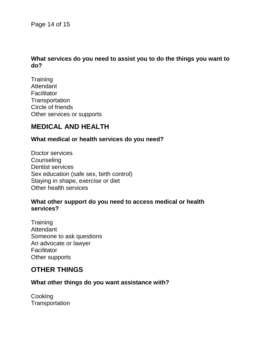Page 14 of 15

#### **What services do you need to assist you to do the things you want to do?**

**Training Attendant Facilitator Transportation** Circle of friends Other services or supports

#### **MEDICAL AND HEALTH**

#### **What medical or health services do you need?**

Doctor services **Counseling** Dentist services Sex education (safe sex, birth control) Staying in shape, exercise or diet Other health services

#### **What other support do you need to access medical or health services?**

**Training Attendant** Someone to ask questions An advocate or lawyer **Facilitator** Other supports

#### **OTHER THINGS**

#### **What other things do you want assistance with?**

**Cooking Transportation**